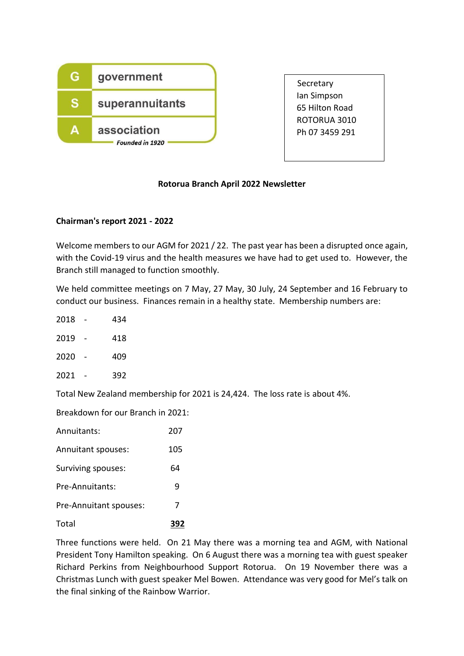

**Secretary**  Ian Simpson 65 Hilton Road ROTORUA 3010 Ph 07 3459 291

# **Rotorua Branch April 2022 Newsletter**

## **Chairman's report 2021 - 2022**

Welcome members to our AGM for 2021 / 22. The past year has been a disrupted once again, with the Covid-19 virus and the health measures we have had to get used to. However, the Branch still managed to function smoothly.

We held committee meetings on 7 May, 27 May, 30 July, 24 September and 16 February to conduct our business. Finances remain in a healthy state. Membership numbers are:

- 2018 434
- 2019 418
- 2020 409
- 2021 392

Total New Zealand membership for 2021 is 24,424. The loss rate is about 4%.

Breakdown for our Branch in 2021:

| Total                  | 392 |
|------------------------|-----|
| Pre-Annuitant spouses: | 7   |
| Pre-Annuitants:        | q   |
| Surviving spouses:     | 64  |
| Annuitant spouses:     | 105 |
| Annuitants:            | 207 |

Three functions were held. On 21 May there was a morning tea and AGM, with National President Tony Hamilton speaking. On 6 August there was a morning tea with guest speaker Richard Perkins from Neighbourhood Support Rotorua. On 19 November there was a Christmas Lunch with guest speaker Mel Bowen. Attendance was very good for Mel's talk on the final sinking of the Rainbow Warrior.